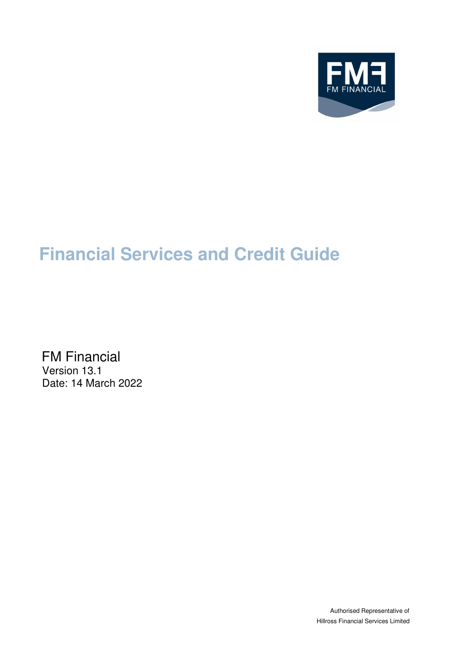

# **Financial Services and Credit Guide**

FM Financial Version 13.1 Date: 14 March 2022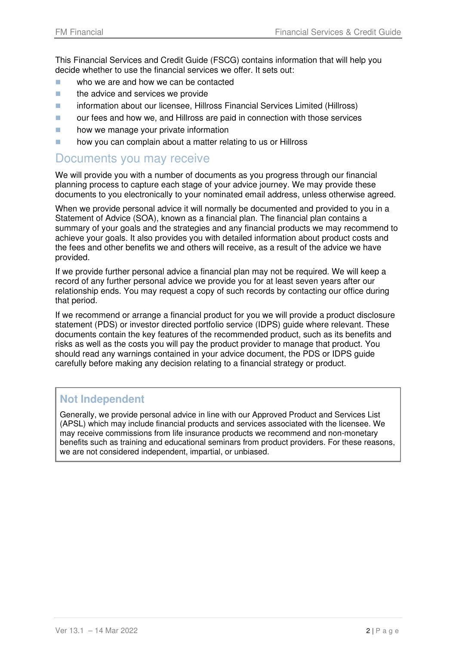This Financial Services and Credit Guide (FSCG) contains information that will help you decide whether to use the financial services we offer. It sets out:

- who we are and how we can be contacted
- $\blacksquare$  the advice and services we provide
- **Information about our licensee, Hillross Financial Services Limited (Hillross)**
- **Delach our fees and how we, and Hillross are paid in connection with those services**
- **how we manage your private information**
- **how you can complain about a matter relating to us or Hillross**

### Documents you may receive

We will provide you with a number of documents as you progress through our financial planning process to capture each stage of your advice journey. We may provide these documents to you electronically to your nominated email address, unless otherwise agreed.

When we provide personal advice it will normally be documented and provided to you in a Statement of Advice (SOA), known as a financial plan. The financial plan contains a summary of your goals and the strategies and any financial products we may recommend to achieve your goals. It also provides you with detailed information about product costs and the fees and other benefits we and others will receive, as a result of the advice we have provided.

If we provide further personal advice a financial plan may not be required. We will keep a record of any further personal advice we provide you for at least seven years after our relationship ends. You may request a copy of such records by contacting our office during that period.

If we recommend or arrange a financial product for you we will provide a product disclosure statement (PDS) or investor directed portfolio service (IDPS) guide where relevant. These documents contain the key features of the recommended product, such as its benefits and risks as well as the costs you will pay the product provider to manage that product. You should read any warnings contained in your advice document, the PDS or IDPS guide carefully before making any decision relating to a financial strategy or product.

#### **Not Independent**

Generally, we provide personal advice in line with our Approved Product and Services List (APSL) which may include financial products and services associated with the licensee. We may receive commissions from life insurance products we recommend and non-monetary benefits such as training and educational seminars from product providers. For these reasons, we are not considered independent, impartial, or unbiased.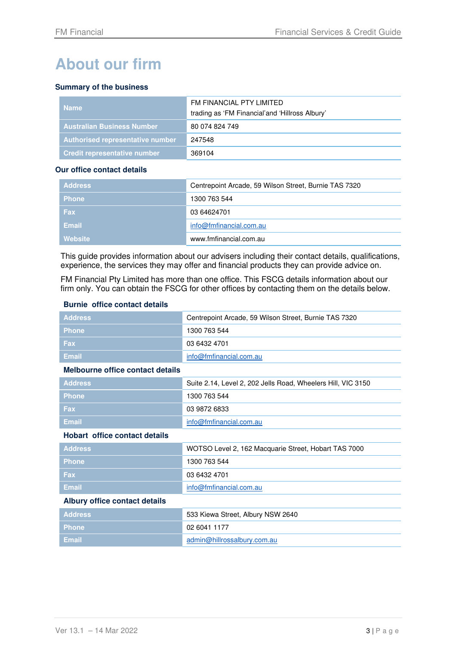# **About our firm**

#### **Summary of the business**

| <b>Name</b>                         | FM FINANCIAL PTY LIMITED<br>trading as 'FM Financial'and 'Hillross Albury' |
|-------------------------------------|----------------------------------------------------------------------------|
| <b>Australian Business Number</b>   | 80 074 824 749                                                             |
| Authorised representative number    | 247548                                                                     |
| <b>Credit representative number</b> | 369104                                                                     |

#### **Our office contact details**

| <b>Address</b> | Centrepoint Arcade, 59 Wilson Street, Burnie TAS 7320 |
|----------------|-------------------------------------------------------|
| <b>Phone</b>   | 1300 763 544                                          |
| <b>Fax</b>     | 03 64624701                                           |
| Email          | info@fmfinancial.com.au                               |
| Website        | www.fmfinancial.com.au                                |

This guide provides information about our advisers including their contact details, qualifications, experience, the services they may offer and financial products they can provide advice on.

FM Financial Pty Limited has more than one office. This FSCG details information about our firm only. You can obtain the FSCG for other offices by contacting them on the details below.

#### **Burnie office contact details**

| <b>Address</b>                       | Centrepoint Arcade, 59 Wilson Street, Burnie TAS 7320        |  |
|--------------------------------------|--------------------------------------------------------------|--|
| <b>Phone</b>                         | 1300 763 544                                                 |  |
| Fax                                  | 03 6432 4701                                                 |  |
| <b>Email</b>                         | info@fmfinancial.com.au                                      |  |
| Melbourne office contact details     |                                                              |  |
| <b>Address</b>                       | Suite 2.14, Level 2, 202 Jells Road, Wheelers Hill, VIC 3150 |  |
| <b>Phone</b>                         | 1300 763 544                                                 |  |
| Fax                                  | 03 9872 6833                                                 |  |
| <b>Email</b>                         | info@fmfinancial.com.au                                      |  |
| <b>Hobart office contact details</b> |                                                              |  |
| <b>Address</b>                       | WOTSO Level 2, 162 Macquarie Street, Hobart TAS 7000         |  |
| <b>Phone</b>                         | 1300 763 544                                                 |  |
| <b>Fax</b>                           | 03 6432 4701                                                 |  |
| <b>Email</b>                         | info@fmfinancial.com.au                                      |  |
| <b>Albury office contact details</b> |                                                              |  |
| <b>Address</b>                       | 533 Kiewa Street, Albury NSW 2640                            |  |
| <b>Phone</b>                         | 02 6041 1177                                                 |  |
| <b>Email</b>                         | admin@hillrossalbury.com.au                                  |  |
|                                      |                                                              |  |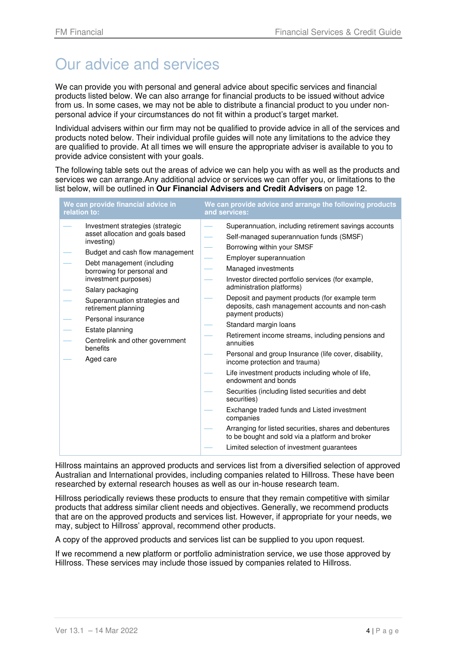# Our advice and services

We can provide you with personal and general advice about specific services and financial products listed below. We can also arrange for financial products to be issued without advice from us. In some cases, we may not be able to distribute a financial product to you under nonpersonal advice if your circumstances do not fit within a product's target market.

Individual advisers within our firm may not be qualified to provide advice in all of the services and products noted below. Their individual profile guides will note any limitations to the advice they are qualified to provide. At all times we will ensure the appropriate adviser is available to you to provide advice consistent with your goals.

The following table sets out the areas of advice we can help you with as well as the products and services we can arrange.Any additional advice or services we can offer you, or limitations to the list below, will be outlined in **Our Financial Advisers and Credit Advisers** on page 12.

| We can provide financial advice in                                                                                                                                                                                                                                                                                                                                                         | We can provide advice and arrange the following products                                                                                                                                                                                                                                                                                                                                                                                                                                                                                                                                                                                                                                                                                                                                                                                                                                                                                                  |
|--------------------------------------------------------------------------------------------------------------------------------------------------------------------------------------------------------------------------------------------------------------------------------------------------------------------------------------------------------------------------------------------|-----------------------------------------------------------------------------------------------------------------------------------------------------------------------------------------------------------------------------------------------------------------------------------------------------------------------------------------------------------------------------------------------------------------------------------------------------------------------------------------------------------------------------------------------------------------------------------------------------------------------------------------------------------------------------------------------------------------------------------------------------------------------------------------------------------------------------------------------------------------------------------------------------------------------------------------------------------|
| relation to:                                                                                                                                                                                                                                                                                                                                                                               | and services:                                                                                                                                                                                                                                                                                                                                                                                                                                                                                                                                                                                                                                                                                                                                                                                                                                                                                                                                             |
| Investment strategies (strategic<br>asset allocation and goals based<br>investing)<br>Budget and cash flow management<br>Debt management (including<br>borrowing for personal and<br>investment purposes)<br>Salary packaging<br>Superannuation strategies and<br>retirement planning<br>Personal insurance<br>Estate planning<br>Centrelink and other government<br>benefits<br>Aged care | Superannuation, including retirement savings accounts<br>Self-managed superannuation funds (SMSF)<br>Borrowing within your SMSF<br>Employer superannuation<br>Managed investments<br>Investor directed portfolio services (for example,<br>administration platforms)<br>Deposit and payment products (for example term<br>deposits, cash management accounts and non-cash<br>payment products)<br>Standard margin loans<br>Retirement income streams, including pensions and<br>annuities<br>Personal and group Insurance (life cover, disability,<br>income protection and trauma)<br>Life investment products including whole of life,<br>endowment and bonds<br>Securities (including listed securities and debt<br>securities)<br>Exchange traded funds and Listed investment<br>companies<br>Arranging for listed securities, shares and debentures<br>to be bought and sold via a platform and broker<br>Limited selection of investment guarantees |

Hillross maintains an approved products and services list from a diversified selection of approved Australian and International provides, including companies related to Hillross. These have been researched by external research houses as well as our in-house research team.

Hillross periodically reviews these products to ensure that they remain competitive with similar products that address similar client needs and objectives. Generally, we recommend products that are on the approved products and services list. However, if appropriate for your needs, we may, subject to Hillross' approval, recommend other products.

A copy of the approved products and services list can be supplied to you upon request.

If we recommend a new platform or portfolio administration service, we use those approved by Hillross. These services may include those issued by companies related to Hillross.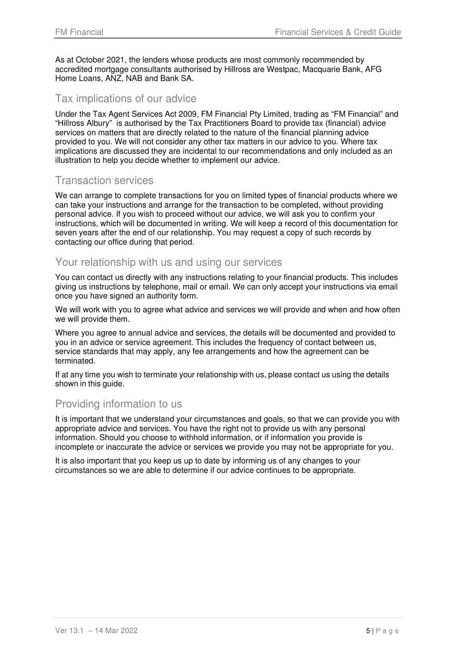As at October 2021, the lenders whose products are most commonly recommended by accredited mortgage consultants authorised by Hillross are Westpac, Macquarie Bank, AFG Home Loans, ANZ, NAB and Bank SA.

#### Tax implications of our advice

Under the Tax Agent Services Act 2009, FM Financial Pty Limited, trading as "FM Financial" and "Hillross Albury" is authorised by the Tax Practitioners Board to provide tax (financial) advice services on matters that are directly related to the nature of the financial planning advice provided to you. We will not consider any other tax matters in our advice to you. Where tax implications are discussed they are incidental to our recommendations and only included as an illustration to help you decide whether to implement our advice.

### Transaction services

We can arrange to complete transactions for you on limited types of financial products where we can take your instructions and arrange for the transaction to be completed, without providing personal advice. If you wish to proceed without our advice, we will ask you to confirm your instructions, which will be documented in writing. We will keep a record of this documentation for seven years after the end of our relationship. You may request a copy of such records by contacting our office during that period.

#### Your relationship with us and using our services

You can contact us directly with any instructions relating to your financial products. This includes giving us instructions by telephone, mail or email. We can only accept your instructions via email once you have signed an authority form.

We will work with you to agree what advice and services we will provide and when and how often we will provide them.

Where you agree to annual advice and services, the details will be documented and provided to you in an advice or service agreement. This includes the frequency of contact between us, service standards that may apply, any fee arrangements and how the agreement can be terminated.

If at any time you wish to terminate your relationship with us, please contact us using the details shown in this guide.

#### Providing information to us

It is important that we understand your circumstances and goals, so that we can provide you with appropriate advice and services. You have the right not to provide us with any personal information. Should you choose to withhold information, or if information you provide is incomplete or inaccurate the advice or services we provide you may not be appropriate for you.

It is also important that you keep us up to date by informing us of any changes to your circumstances so we are able to determine if our advice continues to be appropriate.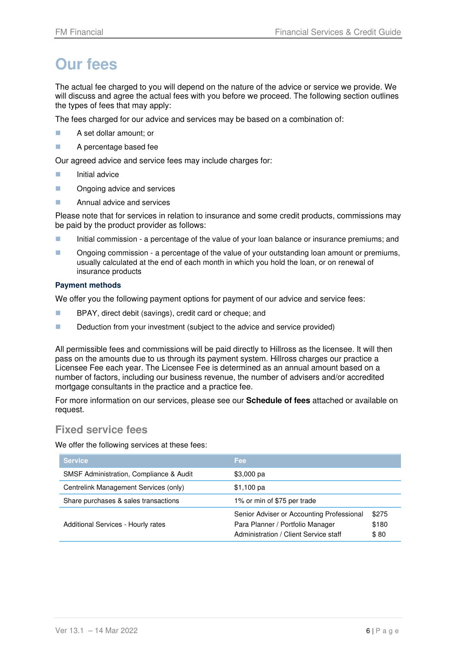# **Our fees**

The actual fee charged to you will depend on the nature of the advice or service we provide. We will discuss and agree the actual fees with you before we proceed. The following section outlines the types of fees that may apply:

The fees charged for our advice and services may be based on a combination of:

- **A** set dollar amount; or
- **A** percentage based fee

Our agreed advice and service fees may include charges for:

- **Initial advice**
- **DECONGLISH** Ongoing advice and services
- **Annual advice and services**

Please note that for services in relation to insurance and some credit products, commissions may be paid by the product provider as follows:

- Initial commission a percentage of the value of your loan balance or insurance premiums; and
- **Ongoing commission a percentage of the value of your outstanding loan amount or premiums,** usually calculated at the end of each month in which you hold the loan, or on renewal of insurance products

#### **Payment methods**

We offer you the following payment options for payment of our advice and service fees:

- **BPAY, direct debit (savings), credit card or cheque; and**
- Deduction from your investment (subject to the advice and service provided)

All permissible fees and commissions will be paid directly to Hillross as the licensee. It will then pass on the amounts due to us through its payment system. Hillross charges our practice a Licensee Fee each year. The Licensee Fee is determined as an annual amount based on a number of factors, including our business revenue, the number of advisers and/or accredited mortgage consultants in the practice and a practice fee.

For more information on our services, please see our **Schedule of fees** attached or available on request.

#### **Fixed service fees**

We offer the following services at these fees:

| <b>Service</b>                          | <b>Fee</b>                                                                                                             |                        |
|-----------------------------------------|------------------------------------------------------------------------------------------------------------------------|------------------------|
| SMSF Administration, Compliance & Audit | $$3,000$ pa                                                                                                            |                        |
| Centrelink Management Services (only)   | $$1,100$ pa                                                                                                            |                        |
| Share purchases & sales transactions    | 1% or min of \$75 per trade                                                                                            |                        |
| Additional Services - Hourly rates      | Senior Adviser or Accounting Professional<br>Para Planner / Portfolio Manager<br>Administration / Client Service staff | \$275<br>\$180<br>\$80 |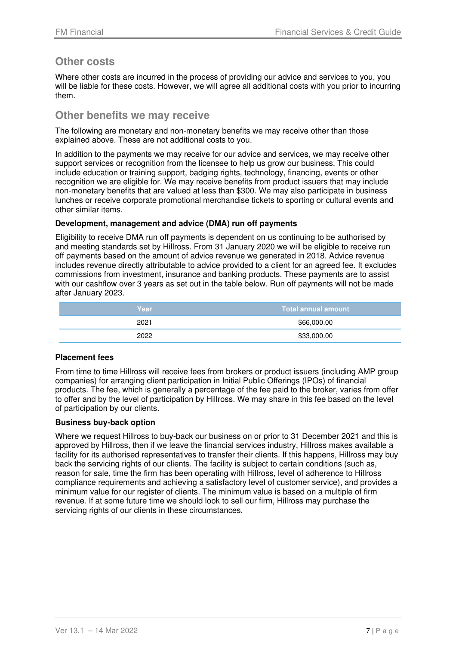#### **Other costs**

Where other costs are incurred in the process of providing our advice and services to you, you will be liable for these costs. However, we will agree all additional costs with you prior to incurring them.

#### **Other benefits we may receive**

The following are monetary and non-monetary benefits we may receive other than those explained above. These are not additional costs to you.

In addition to the payments we may receive for our advice and services, we may receive other support services or recognition from the licensee to help us grow our business. This could include education or training support, badging rights, technology, financing, events or other recognition we are eligible for. We may receive benefits from product issuers that may include non-monetary benefits that are valued at less than \$300. We may also participate in business lunches or receive corporate promotional merchandise tickets to sporting or cultural events and other similar items.

#### **Development, management and advice (DMA) run off payments**

Eligibility to receive DMA run off payments is dependent on us continuing to be authorised by and meeting standards set by Hillross. From 31 January 2020 we will be eligible to receive run off payments based on the amount of advice revenue we generated in 2018. Advice revenue includes revenue directly attributable to advice provided to a client for an agreed fee. It excludes commissions from investment, insurance and banking products. These payments are to assist with our cashflow over 3 years as set out in the table below. Run off payments will not be made after January 2023.

| <b>Year</b> | Total annual amount |
|-------------|---------------------|
| 2021        | \$66,000.00         |
| 2022        | \$33,000.00         |

#### **Placement fees**

From time to time Hillross will receive fees from brokers or product issuers (including AMP group companies) for arranging client participation in Initial Public Offerings (IPOs) of financial products. The fee, which is generally a percentage of the fee paid to the broker, varies from offer to offer and by the level of participation by Hillross. We may share in this fee based on the level of participation by our clients.

#### **Business buy-back option**

Where we request Hillross to buy-back our business on or prior to 31 December 2021 and this is approved by Hillross, then if we leave the financial services industry, Hillross makes available a facility for its authorised representatives to transfer their clients. If this happens, Hillross may buy back the servicing rights of our clients. The facility is subject to certain conditions (such as, reason for sale, time the firm has been operating with Hillross, level of adherence to Hillross compliance requirements and achieving a satisfactory level of customer service), and provides a minimum value for our register of clients. The minimum value is based on a multiple of firm revenue. If at some future time we should look to sell our firm, Hillross may purchase the servicing rights of our clients in these circumstances.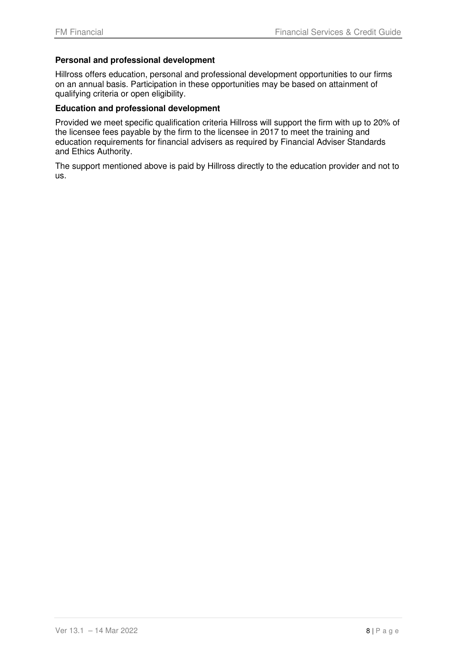#### **Personal and professional development**

Hillross offers education, personal and professional development opportunities to our firms on an annual basis. Participation in these opportunities may be based on attainment of qualifying criteria or open eligibility.

#### **Education and professional development**

Provided we meet specific qualification criteria Hillross will support the firm with up to 20% of the licensee fees payable by the firm to the licensee in 2017 to meet the training and education requirements for financial advisers as required by Financial Adviser Standards and Ethics Authority.

The support mentioned above is paid by Hillross directly to the education provider and not to us.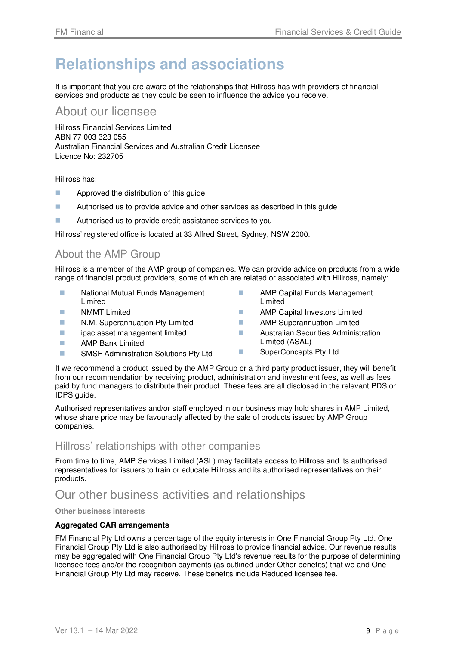# **Relationships and associations**

It is important that you are aware of the relationships that Hillross has with providers of financial services and products as they could be seen to influence the advice you receive.

### About our licensee

Hillross Financial Services Limited ABN 77 003 323 055 Australian Financial Services and Australian Credit Licensee Licence No: 232705

Hillross has:

- **Approved the distribution of this guide**
- **Authorised us to provide advice and other services as described in this quide**
- **Authorised us to provide credit assistance services to you**

Hillross' registered office is located at 33 Alfred Street, Sydney, NSW 2000.

### About the AMP Group

Hillross is a member of the AMP group of companies. We can provide advice on products from a wide range of financial product providers, some of which are related or associated with Hillross, namely:

- **National Mutual Funds Management** Limited
- **NMMT** Limited
- **N.M. Superannuation Pty Limited**
- **i** ipac asset management limited
- **AMP Bank Limited**
- **SMSF Administration Solutions Pty Ltd**
- **AMP Capital Funds Management** Limited
- **AMP Capital Investors Limited**
- **AMP** Superannuation Limited
- **Australian Securities Administration** Limited (ASAL)
- **NumberConcepts Pty Ltd**

If we recommend a product issued by the AMP Group or a third party product issuer, they will benefit from our recommendation by receiving product, administration and investment fees, as well as fees paid by fund managers to distribute their product. These fees are all disclosed in the relevant PDS or IDPS guide.

Authorised representatives and/or staff employed in our business may hold shares in AMP Limited, whose share price may be favourably affected by the sale of products issued by AMP Group companies.

#### Hillross' relationships with other companies

From time to time, AMP Services Limited (ASL) may facilitate access to Hillross and its authorised representatives for issuers to train or educate Hillross and its authorised representatives on their products.

Our other business activities and relationships

**Other business interests** 

#### **Aggregated CAR arrangements**

FM Financial Pty Ltd owns a percentage of the equity interests in One Financial Group Pty Ltd. One Financial Group Pty Ltd is also authorised by Hillross to provide financial advice. Our revenue results may be aggregated with One Financial Group Pty Ltd's revenue results for the purpose of determining licensee fees and/or the recognition payments (as outlined under Other benefits) that we and One Financial Group Pty Ltd may receive. These benefits include Reduced licensee fee.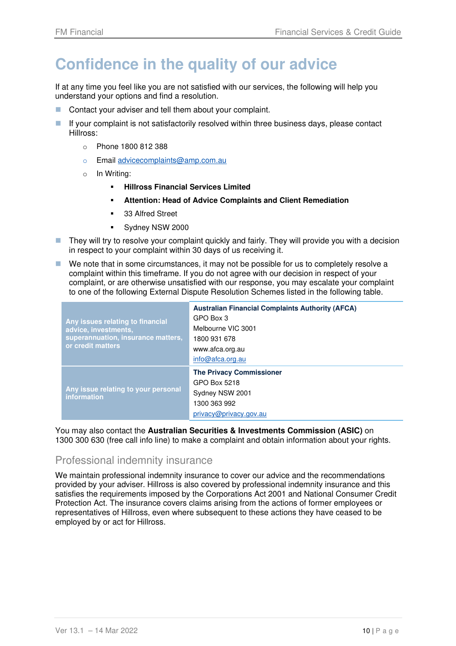# **Confidence in the quality of our advice**

If at any time you feel like you are not satisfied with our services, the following will help you understand your options and find a resolution.

- Contact your adviser and tell them about your complaint.
- If your complaint is not satisfactorily resolved within three business days, please contact Hillross:
	- o Phone 1800 812 388
	- o Email advicecomplaints@amp.com.au
	- o In Writing:
		- **Hillross Financial Services Limited**
		- **Attention: Head of Advice Complaints and Client Remediation**
		- 33 Alfred Street
		- **Sydney NSW 2000**
- **They will try to resolve your complaint quickly and fairly. They will provide you with a decision** in respect to your complaint within 30 days of us receiving it.
- We note that in some circumstances, it may not be possible for us to completely resolve a complaint within this timeframe. If you do not agree with our decision in respect of your complaint, or are otherwise unsatisfied with our response, you may escalate your complaint to one of the following External Dispute Resolution Schemes listed in the following table.

| Any issues relating to financial<br>advice, investments,<br>superannuation, insurance matters,<br>or credit matters | <b>Australian Financial Complaints Authority (AFCA)</b><br>GPO Box 3<br>Melbourne VIC 3001<br>1800 931 678<br>www.afca.org.au<br>info@afca.org.au |
|---------------------------------------------------------------------------------------------------------------------|---------------------------------------------------------------------------------------------------------------------------------------------------|
| Any issue relating to your personal<br>information                                                                  | <b>The Privacy Commissioner</b><br>GPO Box 5218<br>Sydney NSW 2001<br>1300 363 992<br>privacy@privacy.gov.au                                      |

You may also contact the **Australian Securities & Investments Commission (ASIC)** on 1300 300 630 (free call info line) to make a complaint and obtain information about your rights.

#### Professional indemnity insurance

We maintain professional indemnity insurance to cover our advice and the recommendations provided by your adviser. Hillross is also covered by professional indemnity insurance and this satisfies the requirements imposed by the Corporations Act 2001 and National Consumer Credit Protection Act. The insurance covers claims arising from the actions of former employees or representatives of Hillross, even where subsequent to these actions they have ceased to be employed by or act for Hillross.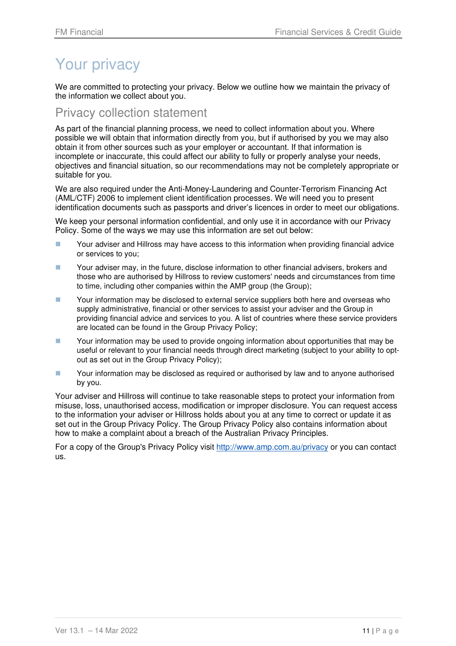# Your privacy

We are committed to protecting your privacy. Below we outline how we maintain the privacy of the information we collect about you.

### Privacy collection statement

As part of the financial planning process, we need to collect information about you. Where possible we will obtain that information directly from you, but if authorised by you we may also obtain it from other sources such as your employer or accountant. If that information is incomplete or inaccurate, this could affect our ability to fully or properly analyse your needs, objectives and financial situation, so our recommendations may not be completely appropriate or suitable for you.

We are also required under the Anti-Money-Laundering and Counter-Terrorism Financing Act (AML/CTF) 2006 to implement client identification processes. We will need you to present identification documents such as passports and driver's licences in order to meet our obligations.

We keep your personal information confidential, and only use it in accordance with our Privacy Policy. Some of the ways we may use this information are set out below:

- **The State Your adviser and Hillross may have access to this information when providing financial advice** or services to you;
- **The State Your adviser may, in the future, disclose information to other financial advisers, brokers and** those who are authorised by Hillross to review customers' needs and circumstances from time to time, including other companies within the AMP group (the Group);
- **The State Your information may be disclosed to external service suppliers both here and overseas who** supply administrative, financial or other services to assist your adviser and the Group in providing financial advice and services to you. A list of countries where these service providers are located can be found in the Group Privacy Policy;
- Your information may be used to provide ongoing information about opportunities that may be useful or relevant to your financial needs through direct marketing (subject to your ability to optout as set out in the Group Privacy Policy);
- Your information may be disclosed as required or authorised by law and to anyone authorised by you.

Your adviser and Hillross will continue to take reasonable steps to protect your information from misuse, loss, unauthorised access, modification or improper disclosure. You can request access to the information your adviser or Hillross holds about you at any time to correct or update it as set out in the Group Privacy Policy. The Group Privacy Policy also contains information about how to make a complaint about a breach of the Australian Privacy Principles.

For a copy of the Group's Privacy Policy visit http://www.amp.com.au/privacy or you can contact us.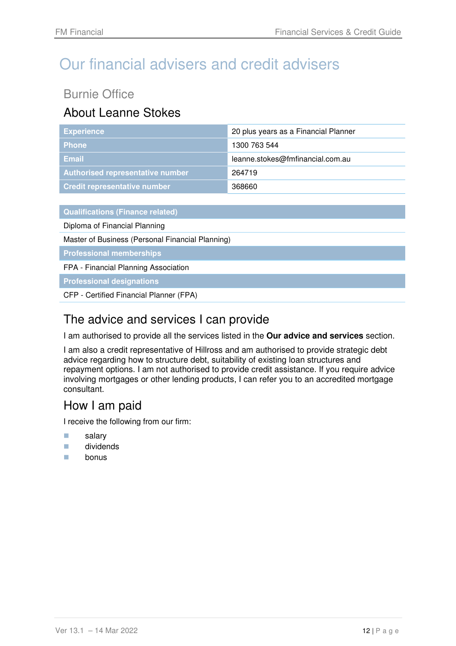# Our financial advisers and credit advisers

# Burnie Office

# About Leanne Stokes

| <b>Experience</b>                       | 20 plus years as a Financial Planner |
|-----------------------------------------|--------------------------------------|
| <b>Phone</b>                            | 1300 763 544                         |
| <b>Email</b>                            | leanne.stokes@fmfinancial.com.au     |
| <b>Authorised representative number</b> | 264719                               |
| <b>Credit representative number</b>     | 368660                               |

**Qualifications (Finance related)** 

Diploma of Financial Planning

Master of Business (Personal Financial Planning)

**Professional memberships** 

FPA - Financial Planning Association

**Professional designations** 

CFP - Certified Financial Planner (FPA)

## The advice and services I can provide

I am authorised to provide all the services listed in the **Our advice and services** section.

I am also a credit representative of Hillross and am authorised to provide strategic debt advice regarding how to structure debt, suitability of existing loan structures and repayment options. I am not authorised to provide credit assistance. If you require advice involving mortgages or other lending products, I can refer you to an accredited mortgage consultant.

### How I am paid

- **salary**
- **dividends**
- $\blacksquare$  bonus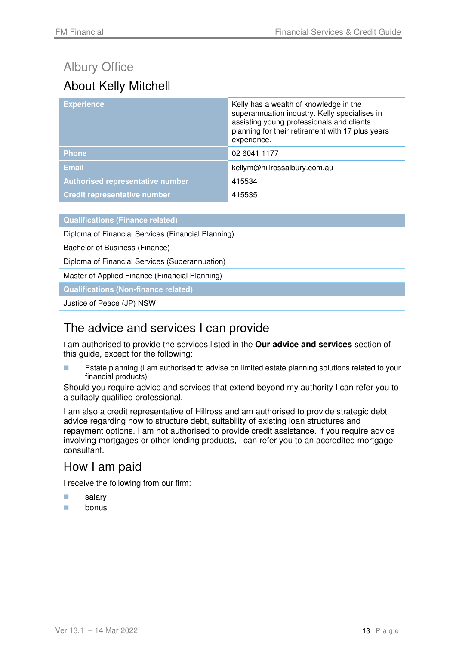# Albury Office About Kelly Mitchell

| <b>Experience</b>                       | Kelly has a wealth of knowledge in the<br>superannuation industry. Kelly specialises in<br>assisting young professionals and clients<br>planning for their retirement with 17 plus years<br>experience. |
|-----------------------------------------|---------------------------------------------------------------------------------------------------------------------------------------------------------------------------------------------------------|
| <b>Phone</b>                            | 02 6041 1177                                                                                                                                                                                            |
| <b>Email</b>                            | kellym@hillrossalbury.com.au                                                                                                                                                                            |
| <b>Authorised representative number</b> | 415534                                                                                                                                                                                                  |
| <b>Credit representative number</b>     | 415535                                                                                                                                                                                                  |

| <b>Qualifications (Finance related)</b> |
|-----------------------------------------|
|                                         |

Diploma of Financial Services (Financial Planning)

Bachelor of Business (Finance)

Diploma of Financial Services (Superannuation)

Master of Applied Finance (Financial Planning)

**Qualifications (Non-finance related)** 

Justice of Peace (JP) NSW

## The advice and services I can provide

I am authorised to provide the services listed in the **Our advice and services** section of this guide, except for the following:

**EXTERGHERIFF ESTATE PLANNIST ESTATE IN A LIGATE CONCOCOLD ESTATE IN A LIGATE CONCOCOLD ESTATE FOLLO FILMOGLY** financial products)

Should you require advice and services that extend beyond my authority I can refer you to a suitably qualified professional.

I am also a credit representative of Hillross and am authorised to provide strategic debt advice regarding how to structure debt, suitability of existing loan structures and repayment options. I am not authorised to provide credit assistance. If you require advice involving mortgages or other lending products, I can refer you to an accredited mortgage consultant.

### How I am paid

- salary
- **bonus**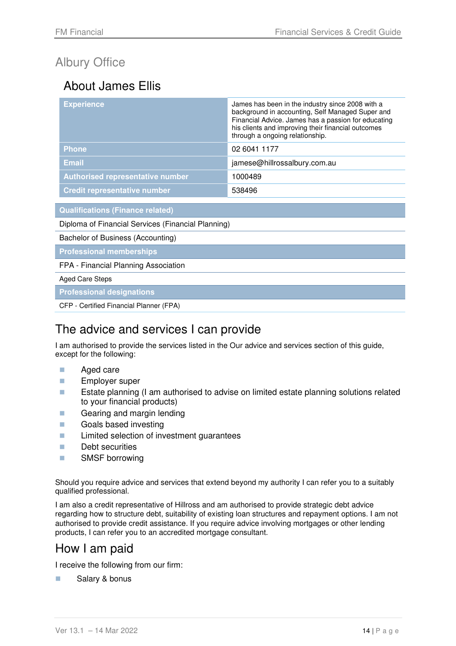# Albury Office

# About James Ellis

| <b>Experience</b>                       | James has been in the industry since 2008 with a<br>background in accounting, Self Managed Super and<br>Financial Advice. James has a passion for educating<br>his clients and improving their financial outcomes<br>through a ongoing relationship. |
|-----------------------------------------|------------------------------------------------------------------------------------------------------------------------------------------------------------------------------------------------------------------------------------------------------|
| <b>Phone</b>                            | 02 6041 1177                                                                                                                                                                                                                                         |
| <b>Email</b>                            | jamese@hillrossalbury.com.au                                                                                                                                                                                                                         |
| <b>Authorised representative number</b> | 1000489                                                                                                                                                                                                                                              |
| <b>Credit representative number</b>     | 538496                                                                                                                                                                                                                                               |

**Qualifications (Finance related)** 

Diploma of Financial Services (Financial Planning)

Bachelor of Business (Accounting)

**Professional memberships** 

FPA - Financial Planning Association

Aged Care Steps

**Professional designations** 

CFP - Certified Financial Planner (FPA)

### The advice and services I can provide

I am authorised to provide the services listed in the Our advice and services section of this guide, except for the following:

- **Aged care**
- **Employer super**
- **EXTER 12** Estate planning (I am authorised to advise on limited estate planning solutions related to your financial products)
- Gearing and margin lending
- **Goals based investing**
- **Limited selection of investment quarantees**
- **Debt securities**
- **SMSF** borrowing

Should you require advice and services that extend beyond my authority I can refer you to a suitably qualified professional.

I am also a credit representative of Hillross and am authorised to provide strategic debt advice regarding how to structure debt, suitability of existing loan structures and repayment options. I am not authorised to provide credit assistance. If you require advice involving mortgages or other lending products, I can refer you to an accredited mortgage consultant.

## How I am paid

I receive the following from our firm:

**Salary & bonus**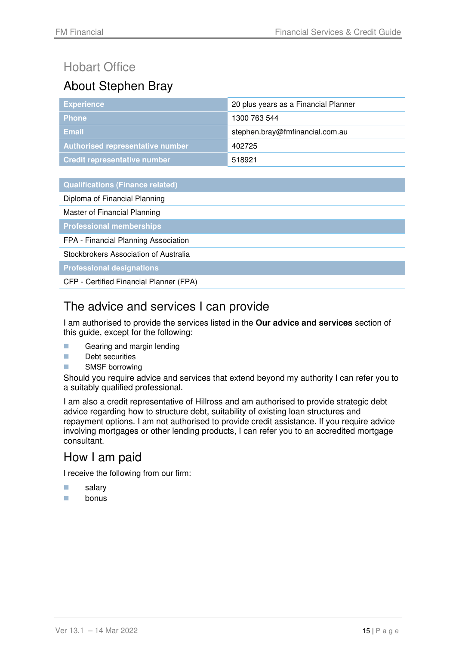# Hobart Office

# About Stephen Bray

| <b>Experience</b>                   | 20 plus years as a Financial Planner |
|-------------------------------------|--------------------------------------|
| <b>Phone</b>                        | 1300 763 544                         |
| Email                               | stephen.bray@fmfinancial.com.au      |
| Authorised representative number    | 402725                               |
| <b>Credit representative number</b> | 518921                               |

**Qualifications (Finance related)** 

Diploma of Financial Planning

Master of Financial Planning

**Professional memberships** 

FPA - Financial Planning Association

Stockbrokers Association of Australia

**Professional designations** 

CFP - Certified Financial Planner (FPA)

## The advice and services I can provide

I am authorised to provide the services listed in the **Our advice and services** section of this guide, except for the following:

- Gearing and margin lending
- **Debt securities**
- **SMSF** borrowing

Should you require advice and services that extend beyond my authority I can refer you to a suitably qualified professional.

I am also a credit representative of Hillross and am authorised to provide strategic debt advice regarding how to structure debt, suitability of existing loan structures and repayment options. I am not authorised to provide credit assistance. If you require advice involving mortgages or other lending products, I can refer you to an accredited mortgage consultant.

## How I am paid

- **salary**
- **n** bonus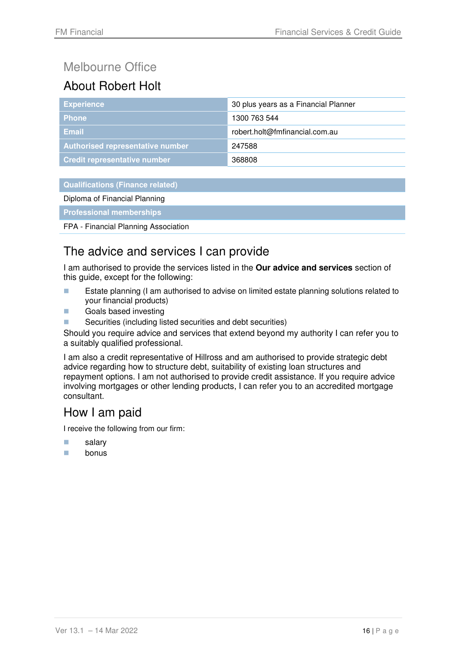# Melbourne Office

# About Robert Holt

| <b>Experience</b>                   | 30 plus years as a Financial Planner |  |
|-------------------------------------|--------------------------------------|--|
| <b>Phone</b>                        | 1300 763 544                         |  |
| Email                               | robert.holt@fmfinancial.com.au       |  |
| Authorised representative number    | 247588                               |  |
| <b>Credit representative number</b> | 368808                               |  |

#### **Qualifications (Finance related)**

Diploma of Financial Planning

**Professional memberships** 

FPA - Financial Planning Association

## The advice and services I can provide

I am authorised to provide the services listed in the **Our advice and services** section of this guide, except for the following:

- **EXTER 15 Estate planning (I am authorised to advise on limited estate planning solutions related to** your financial products)
- **Goals based investing**
- Securities (including listed securities and debt securities)

Should you require advice and services that extend beyond my authority I can refer you to a suitably qualified professional.

I am also a credit representative of Hillross and am authorised to provide strategic debt advice regarding how to structure debt, suitability of existing loan structures and repayment options. I am not authorised to provide credit assistance. If you require advice involving mortgages or other lending products, I can refer you to an accredited mortgage consultant.

## How I am paid

- **salary**
- **bonus**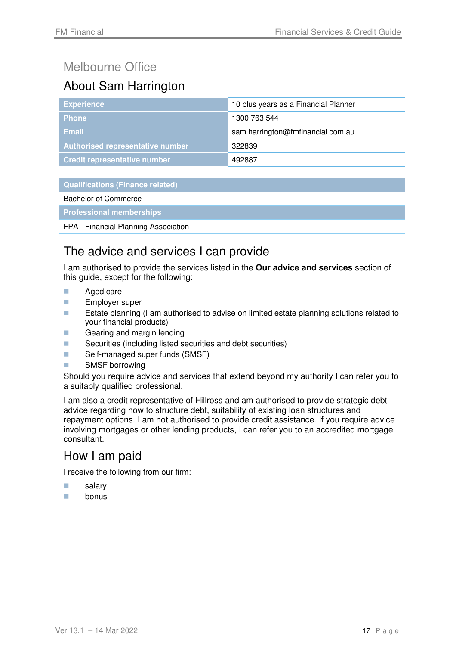# Melbourne Office

# About Sam Harrington

| <b>Experience</b>                   | 10 plus years as a Financial Planner |  |
|-------------------------------------|--------------------------------------|--|
| <b>Phone</b>                        | 1300 763 544                         |  |
| <b>Email</b>                        | sam.harrington@fmfinancial.com.au    |  |
| Authorised representative number    | 322839                               |  |
| <b>Credit representative number</b> | 492887                               |  |

#### **Qualifications (Finance related)**

#### Bachelor of Commerce

#### **Professional memberships**

#### FPA - Financial Planning Association

## The advice and services I can provide

I am authorised to provide the services listed in the **Our advice and services** section of this guide, except for the following:

- **Aged care**
- **Employer super**
- **EXTER 12** Estate planning (I am authorised to advise on limited estate planning solutions related to your financial products)
- Gearing and margin lending
- Securities (including listed securities and debt securities)
- Self-managed super funds (SMSF)
- **SMSF** borrowing

Should you require advice and services that extend beyond my authority I can refer you to a suitably qualified professional.

I am also a credit representative of Hillross and am authorised to provide strategic debt advice regarding how to structure debt, suitability of existing loan structures and repayment options. I am not authorised to provide credit assistance. If you require advice involving mortgages or other lending products, I can refer you to an accredited mortgage consultant.

### How I am paid

- **salary**
- $\Box$  bonus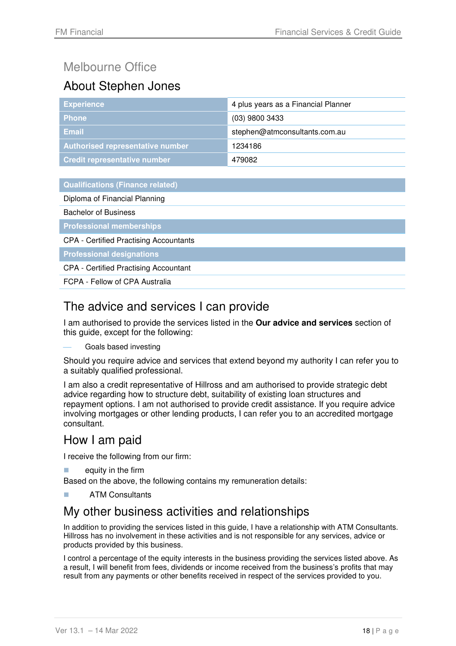# Melbourne Office

# About Stephen Jones

| <b>Experience</b>                   | 4 plus years as a Financial Planner |  |
|-------------------------------------|-------------------------------------|--|
| <b>Phone</b>                        | $(03)$ 9800 3433                    |  |
| Email                               | stephen@atmconsultants.com.au       |  |
| Authorised representative number    | 1234186                             |  |
| <b>Credit representative number</b> | 479082                              |  |

| <b>Qualifications (Finance related)</b> |  |
|-----------------------------------------|--|
|-----------------------------------------|--|

Diploma of Financial Planning

Bachelor of Business

**Professional memberships** 

CPA - Certified Practising Accountants

**Professional designations** 

CPA - Certified Practising Accountant

FCPA - Fellow of CPA Australia

## The advice and services I can provide

I am authorised to provide the services listed in the **Our advice and services** section of this guide, except for the following:

Goals based investing

Should you require advice and services that extend beyond my authority I can refer you to a suitably qualified professional.

I am also a credit representative of Hillross and am authorised to provide strategic debt advice regarding how to structure debt, suitability of existing loan structures and repayment options. I am not authorised to provide credit assistance. If you require advice involving mortgages or other lending products, I can refer you to an accredited mortgage consultant.

## How I am paid

I receive the following from our firm:

- equity in the firm
- Based on the above, the following contains my remuneration details:
- ATM Consultants

## My other business activities and relationships

In addition to providing the services listed in this guide, I have a relationship with ATM Consultants. Hillross has no involvement in these activities and is not responsible for any services, advice or products provided by this business.

I control a percentage of the equity interests in the business providing the services listed above. As a result, I will benefit from fees, dividends or income received from the business's profits that may result from any payments or other benefits received in respect of the services provided to you.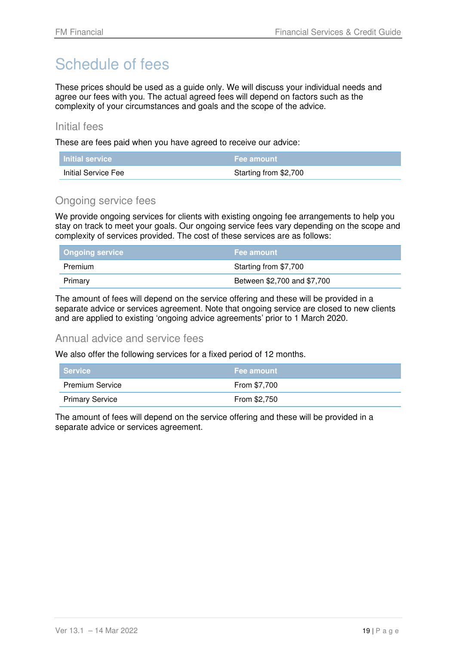# Schedule of fees

These prices should be used as a guide only. We will discuss your individual needs and agree our fees with you. The actual agreed fees will depend on factors such as the complexity of your circumstances and goals and the scope of the advice.

#### Initial fees

These are fees paid when you have agreed to receive our advice:

| <b>Initial service</b> |                       |
|------------------------|-----------------------|
| Initial Service Fee    | Starting from \$2,700 |

#### Ongoing service fees

We provide ongoing services for clients with existing ongoing fee arrangements to help you stay on track to meet your goals. Our ongoing service fees vary depending on the scope and complexity of services provided. The cost of these services are as follows:

| <b>Ongoing service</b> | <b>Fee amount</b>           |
|------------------------|-----------------------------|
| Premium                | Starting from \$7,700       |
| Primary                | Between \$2,700 and \$7,700 |

The amount of fees will depend on the service offering and these will be provided in a separate advice or services agreement. Note that ongoing service are closed to new clients and are applied to existing 'ongoing advice agreements' prior to 1 March 2020.

#### Annual advice and service fees

We also offer the following services for a fixed period of 12 months.

| ∣ Service              | <b>Fee amount</b> |
|------------------------|-------------------|
| <b>Premium Service</b> | From \$7.700      |
| <b>Primary Service</b> | From \$2,750      |

The amount of fees will depend on the service offering and these will be provided in a separate advice or services agreement.